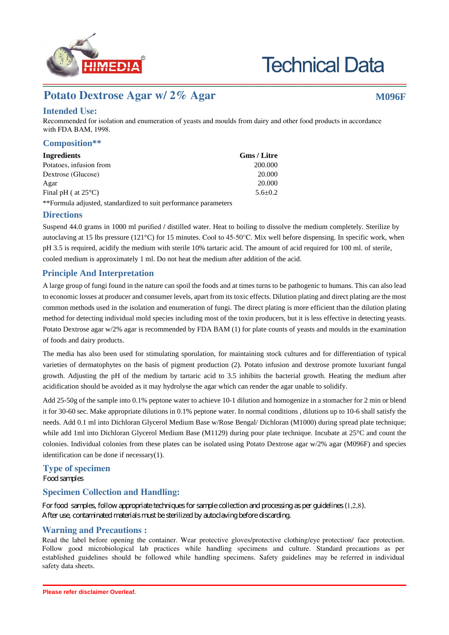

# **Technical Data**

## **Potato Dextrose Agar w/ 2% Agar <b>M096F** M096F

### **Intended Use:**

Recommended for isolation and enumeration of yeasts and moulds from dairy and other food products in accordance with FDA BAM, 1998.

#### **Composition\*\***

| Ingredients                                                     | <b>Gms</b> / Litre |
|-----------------------------------------------------------------|--------------------|
| Potatoes, infusion from                                         | 200.000            |
| Dextrose (Glucose)                                              | 20,000             |
| Agar                                                            | 20,000             |
| Final pH ( at $25^{\circ}$ C)                                   | $5.6 + 0.2$        |
| **Formula adjusted, standardized to suit performance parameters |                    |

#### **Directions**

Suspend 44.0 grams in 1000 ml purified / distilled water. Heat to boiling to dissolve the medium completely. Sterilize by autoclaving at 15 lbs pressure (121°C) for 15 minutes. Cool to 45-50°C. Mix well before dispensing. In specific work, when pH 3.5 is required, acidify the medium with sterile 10% tartaric acid. The amount of acid required for 100 ml. of sterile, cooled medium is approximately 1 ml. Do not heat the medium after addition of the acid.

#### **Principle And Interpretation**

A large group of fungi found in the nature can spoil the foods and at times turns to be pathogenic to humans. This can also lead to economic losses at producer and consumer levels, apart from its toxic effects. Dilution plating and direct plating are the most common methods used in the isolation and enumeration of fungi. The direct plating is more efficient than the dilution plating method for detecting individual mold species including most of the toxin producers, but it is less effective in detecting yeasts. Potato Dextrose agar w/2% agar is recommended by FDA BAM (1) for plate counts of yeasts and moulds in the examination of foods and dairy products.

The media has also been used for stimulating sporulation, for maintaining stock cultures and for differentiation of typical varieties of dermatophytes on the basis of pigment production (2). Potato infusion and dextrose promote luxuriant fungal growth. Adjusting the pH of the medium by tartaric acid to 3.5 inhibits the bacterial growth. Heating the medium after acidification should be avoided as it may hydrolyse the agar which can render the agar unable to solidify.

Add 25-50g of the sample into 0.1% peptone water to achieve 10-1 dilution and homogenize in a stomacher for 2 min or blend it for 30-60 sec. Make appropriate dilutions in 0.1% peptone water. In normal conditions , dilutions up to 10-6 shall satisfy the needs. Add 0.1 ml into Dichloran Glycerol Medium Base w/Rose Bengal/ Dichloran (M1000) during spread plate technique; while add 1ml into Dichloran Glycerol Medium Base (M1129) during pour plate technique. Incubate at 25°C and count the colonies. Individual colonies from these plates can be isolated using Potato Dextrose agar w/2% agar (M096F) and species identification can be done if necessary(1).

#### **Type of specimen**

Hqqf"uc o rngu"

#### **Specimen Collection and Handling:**

Hqt"hqqf" ucorngu."hqnnqy"crrtqrtkcyg"ygejpkswgu"hqt"ucorng"eqmgevkqp"cpf"rtqeguukpi"cu"rgt"iwkfgnkpgu"\*1,2,8+0 Chvgt"wug."eqpvc okpcvgf" o cvgtkcnu" o wuv"dg"uvgtknk | gf"d{"cwvqencxkpi "dghqtg" fkuectfkpi0"

#### **Warning and Precautions :**

Read the label before opening the container. Wear protective gloves/protective clothing/eye protection/ face protection. Follow good microbiological lab practices while handling specimens and culture. Standard precautions as per established guidelines should be followed while handling specimens. Safety guidelines may be referred in individual safety data sheets.